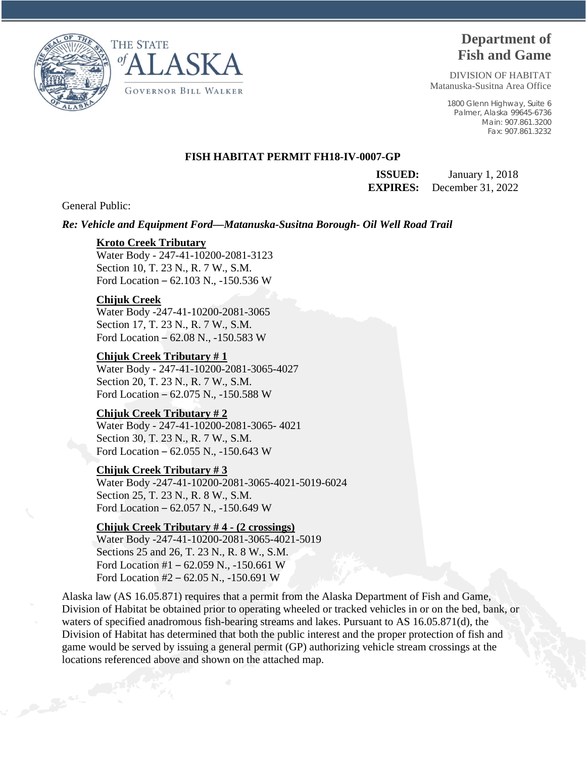



# **Department of Fish and Game**

DIVISION OF HABITAT Matanuska-Susitna Area Office

> 1800 Glenn Highway, Suite 6 Palmer, Alaska 99645-6736 Main: 907.861.3200 Fax: 907.861.3232

## **FISH HABITAT PERMIT FH18-IV-0007-GP**

**ISSUED:** January 1, 2018 **EXPIRES:** December 31, 2022

General Public:

*Re: Vehicle and Equipment Ford—Matanuska-Susitna Borough- Oil Well Road Trail* 

## **Kroto Creek Tributary**

Water Body - 247-41-10200-2081-3123 Section 10, T. 23 N., R. 7 W., S.M. Ford Location – 62.103 N., -150.536 W

## **Chijuk Creek**

Water Body -247-41-10200-2081-3065 Section 17, T. 23 N., R. 7 W., S.M. Ford Location – 62.08 N., -150.583 W

#### **Chijuk Creek Tributary # 1**

Water Body - 247-41-10200-2081-3065-4027 Section 20, T. 23 N., R. 7 W., S.M. Ford Location – 62.075 N., -150.588 W

#### **Chijuk Creek Tributary # 2**

Water Body - 247-41-10200-2081-3065- 4021 Section 30, T. 23 N., R. 7 W., S.M. Ford Location – 62.055 N., -150.643 W

# **Chijuk Creek Tributary # 3**

Water Body -247-41-10200-2081-3065-4021-5019-6024 Section 25, T. 23 N., R. 8 W., S.M. Ford Location – 62.057 N., -150.649 W

# **Chijuk Creek Tributary # 4 - (2 crossings)**

Water Body -247-41-10200-2081-3065-4021-5019 Sections 25 and 26, T. 23 N., R. 8 W., S.M. Ford Location #1 – 62.059 N., -150.661 W Ford Location #2 – 62.05 N., -150.691 W

Alaska law (AS 16.05.871) requires that a permit from the Alaska Department of Fish and Game, Division of Habitat be obtained prior to operating wheeled or tracked vehicles in or on the bed, bank, or waters of specified anadromous fish-bearing streams and lakes. Pursuant to AS 16.05.871(d), the Division of Habitat has determined that both the public interest and the proper protection of fish and game would be served by issuing a general permit (GP) authorizing vehicle stream crossings at the locations referenced above and shown on the attached map.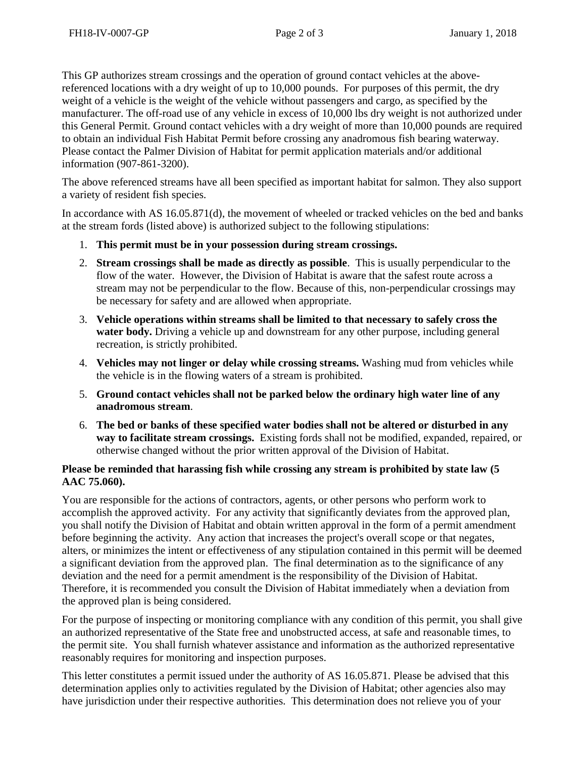This GP authorizes stream crossings and the operation of ground contact vehicles at the abovereferenced locations with a dry weight of up to 10,000 pounds. For purposes of this permit, the dry weight of a vehicle is the weight of the vehicle without passengers and cargo, as specified by the manufacturer. The off-road use of any vehicle in excess of 10,000 lbs dry weight is not authorized under this General Permit. Ground contact vehicles with a dry weight of more than 10,000 pounds are required to obtain an individual Fish Habitat Permit before crossing any anadromous fish bearing waterway. Please contact the Palmer Division of Habitat for permit application materials and/or additional information (907-861-3200).

The above referenced streams have all been specified as important habitat for salmon. They also support a variety of resident fish species.

In accordance with AS 16.05.871(d), the movement of wheeled or tracked vehicles on the bed and banks at the stream fords (listed above) is authorized subject to the following stipulations:

- 1. **This permit must be in your possession during stream crossings.**
- 2. **Stream crossings shall be made as directly as possible**. This is usually perpendicular to the flow of the water. However, the Division of Habitat is aware that the safest route across a stream may not be perpendicular to the flow. Because of this, non-perpendicular crossings may be necessary for safety and are allowed when appropriate.
- 3. **Vehicle operations within streams shall be limited to that necessary to safely cross the**  water body. Driving a vehicle up and downstream for any other purpose, including general recreation, is strictly prohibited.
- 4. **Vehicles may not linger or delay while crossing streams.** Washing mud from vehicles while the vehicle is in the flowing waters of a stream is prohibited.
- 5. **Ground contact vehicles shall not be parked below the ordinary high water line of any anadromous stream**.
- 6. **The bed or banks of these specified water bodies shall not be altered or disturbed in any way to facilitate stream crossings.** Existing fords shall not be modified, expanded, repaired, or otherwise changed without the prior written approval of the Division of Habitat.

# **Please be reminded that harassing fish while crossing any stream is prohibited by state law (5 AAC 75.060).**

You are responsible for the actions of contractors, agents, or other persons who perform work to accomplish the approved activity. For any activity that significantly deviates from the approved plan, you shall notify the Division of Habitat and obtain written approval in the form of a permit amendment before beginning the activity. Any action that increases the project's overall scope or that negates, alters, or minimizes the intent or effectiveness of any stipulation contained in this permit will be deemed a significant deviation from the approved plan. The final determination as to the significance of any deviation and the need for a permit amendment is the responsibility of the Division of Habitat. Therefore, it is recommended you consult the Division of Habitat immediately when a deviation from the approved plan is being considered.

For the purpose of inspecting or monitoring compliance with any condition of this permit, you shall give an authorized representative of the State free and unobstructed access, at safe and reasonable times, to the permit site. You shall furnish whatever assistance and information as the authorized representative reasonably requires for monitoring and inspection purposes.

This letter constitutes a permit issued under the authority of AS 16.05.871. Please be advised that this determination applies only to activities regulated by the Division of Habitat; other agencies also may have jurisdiction under their respective authorities. This determination does not relieve you of your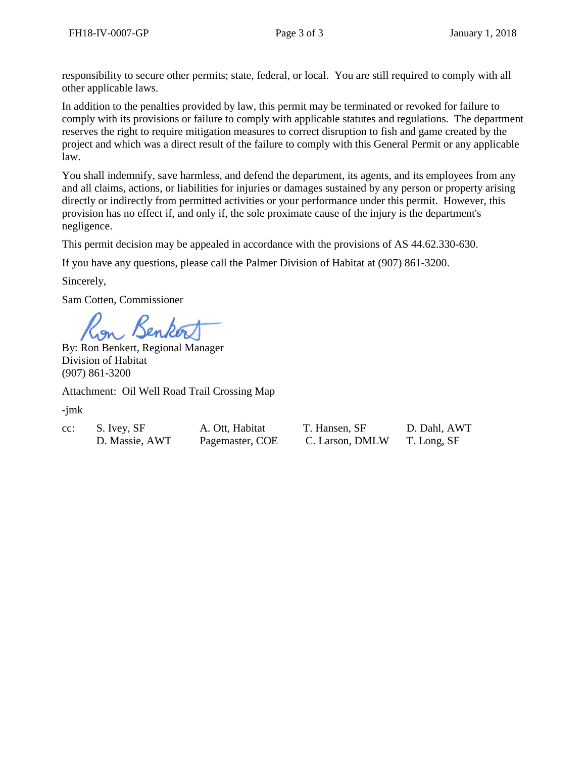responsibility to secure other permits; state, federal, or local. You are still required to comply with all other applicable laws.

In addition to the penalties provided by law, this permit may be terminated or revoked for failure to comply with its provisions or failure to comply with applicable statutes and regulations. The department reserves the right to require mitigation measures to correct disruption to fish and game created by the project and which was a direct result of the failure to comply with this General Permit or any applicable law.

You shall indemnify, save harmless, and defend the department, its agents, and its employees from any and all claims, actions, or liabilities for injuries or damages sustained by any person or property arising directly or indirectly from permitted activities or your performance under this permit. However, this provision has no effect if, and only if, the sole proximate cause of the injury is the department's negligence.

This permit decision may be appealed in accordance with the provisions of AS 44.62.330-630.

If you have any questions, please call the Palmer Division of Habitat at (907) 861-3200.

Sincerely,

Sam Cotten, Commissioner

By: Ron Benkert, Regional Manager Division of Habitat (907) 861-3200

Attachment: Oil Well Road Trail Crossing Map

-jmk

- cc: S. Ivey, SF A. Ott, Habitat
- D. Massie, AWT. Pagemaster, COE.

| T. Hansen, SF   | D. Dahl, AWT |
|-----------------|--------------|
| C. Larson, DMLW | T. Long, SF  |